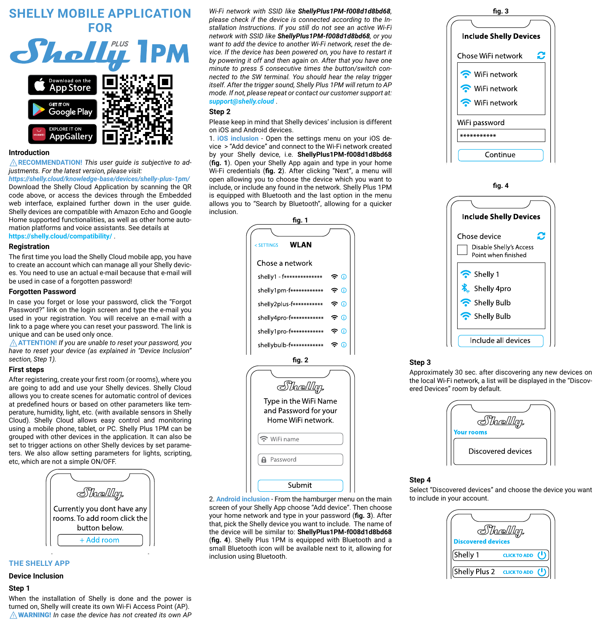

#### **Introduction**

⚠**RECOMMENDATION!** *This user guide is subjective to adjustments. For the latest version, please visit:*

*https://shelly.cloud/knowledge-base/devices/shelly-plus-1pm/* Download the Shelly Cloud Application by scanning the QR code above, or access the devices through the Embedded web interface, explained further down in the user guide. Shelly devices are compatible with Amazon Echo and Google Home supported functionalities, as well as other home automation platforms and voice assistants. See details at **https://shelly.cloud/compatibility/** .

#### **Registration**

The first time you load the Shelly Cloud mobile app, you have to create an account which can manage all your Shelly devices. You need to use an actual e-mail because that e-mail will be used in case of а forgotten password!

## **Forgotten Password**

In case you forget or lose your password, click the "Forgot Password?" link on the login screen and type the e-mail you used in your registration. You will receive an e-mail with a link to а page where you can reset your password. The link is unique and can be used only once.

⚠**ATTENTION!** *If you are unable to reset your password, you have to reset your device (as explained in "Device Inclusion" section, Step 1).* 

# **First steps**

After registering, create your first room (or rooms), where you are going to add and use your Shelly devices. Shelly Cloud allows you to create scenes for automatic control of devices at predefined hours or based on other parameters like temperature, humidity, light, etc. (with available sensors in Shelly Cloud). Shelly Cloud allows easy control and monitoring using a mobile phone, tablet, or PC. Shelly Plus 1PM can be grouped with other devices in the application. It can also be set to trigger actions on other Shelly devices by set parameters. We also allow setting parameters for lights, scripting, etc, which are not a simple ON/OFF.



# **THE SHELLY APP**

# **Device Inclusion**

#### **Step 1**

When the installation of Shelly is done and the power is turned on, Shelly will create its own Wi-Fi Access Point (AP). ⚠WARNING! *In case the device has not created its own AP*  *Wi-Fi network with SSID like ShellyPlus1PM-f008d1d8bd68, please check if the device is connected according to the Installation Instructions. If you still do not see an active Wi-Fi network with SSID like ShellyPlus1PM-f008d1d8bd68, or you want to add the device to another Wi-Fi network, reset the device. If the device has been powered on, you have to restart it by powering it off and then again on. After that you have one minute to press 5 consecutive times the button/switch connected to the SW terminal. You should hear the relay trigger itself. After the trigger sound, Shelly Plus 1PM will return to AP mode. If not, please repeat or contact our customer support at: support@shelly.cloud* .

## **Step 2**

Please keep in mind that Shelly devices' inclusion is different on iOS and Android devices.

1. **iOS inclusion** - Open the settings menu on your iOS device > "Аdd device" and connect to the Wi-Fi network created by your Shelly device, i.e. **ShellyPlus1PM-f008d1d8bd68** (**fig. 1**). Open your Shelly App again and type in your home Wi-Fi credentials (**fig. 2**). After clicking "Next", a menu will open allowing you to choose the device which you want to include, or include any found in the network. Shelly Plus 1PM is equipped with Bluetooth and the last option in the menu allows you to "Search by Bluetooth", allowing for a quicker inclusion.



2. **Android inclusion** - From the hamburger menu on the main screen of your Shelly App choose "Add device". Then choose your home network and type in your password (**fig. 3**). After that, pick the Shelly device you want to include. The name of the device will be similar to: **ShellyPlus1PM-f008d1d8bd68**  (**fig. 4**). Shelly Plus 1PM is equipped with Bluetooth and a small Bluetooth icon will be available next to it, allowing for inclusion using Bluetooth.



**fig. 4**



## **Step 3**

Approximately 30 sec. after discovering any new devices оn the local Wi-Fi network, а list will be displayed in the "Discovered Devices" room by default.



## **Step 4**

Select "Discovered devices" and choose the device you want to include in your account.